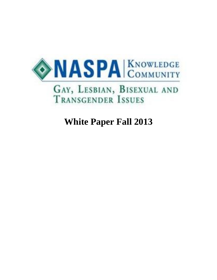

# **White Paper Fall 2013**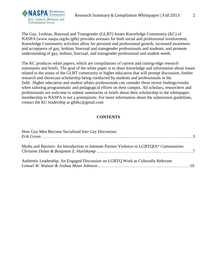

The Gay, Lesbian, Bisexual and Transgender (GLBT) Issues Knowledge Community (KC) of NASPA (www.naspa.org/kc/glbt) provides avenues for both social and professional involvement. Knowledge Community activities allow for personal and professional growth, increased awareness and acceptance of gay, lesbian, bisexual and transgender professionals and students, and promote understanding of gay, lesbian, bisexual, and transgender professional and student needs.

The KC produces white papers, which are compilations of current and cutting-edge research summaries and briefs. The goal of the white paper is to share knowledge and information about issues related to the status of the GLBT community in higher education that will prompt discussion, further research and showcase scholarship being conducted by students and professionals in the field. Higher education and student affairs professionals can consider these recent findings/results when tailoring programmatic and pedagogical efforts on their campus. All scholars, researchers and professionals are welcome to submit summaries or briefs about their scholarship to the whitepaper; membership in NASPA is not a prerequisite. For more information about the submission guidelines, contact the KC leadership at glbtkc@gmail.com

## **CONTENTS**

| How Gay Men Become Socialized Into Gay Discourses                                        |  |
|------------------------------------------------------------------------------------------|--|
| Myths and Barriers: An Introduction to Intimate Partner Violence in LGBTQIA* Communities |  |
| Authentic Leadership: An Engaged Discussion on LGBTQ Work as Culturally Relevant         |  |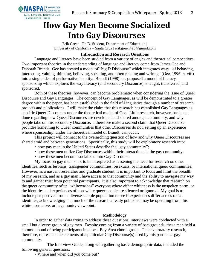

## **How Gay Men Become Socialized Into Gay Discourses**

Erik Green | Ph.D. Student, Department of Education | University of California – Santa Cruz | erikgreen428@gmail.com

## **Introduction and Research Questions**

Language and literacy have been studied from a variety of angles and theoretical perspectives. Two important theories in the understanding of language and literacy come from James Gee and Deborah Brandt. Gee has created a model of "big D Discourse" which integrates ways "of behaving, interacting, valuing, thinking, believing, speaking, and often reading and writing" (Gee, 1996, p. viii) into a single idea of performative identity. Brandt (1998) has proposed a model of literacy sponsorship which explores the way literacy (and secondary Discourse) is taught, transferred, and sponsored.

Both of these theories, however, can become problematic when considering the issue of Queer Discourse and Gay Languages. The concept of Gay Languages, as will be demonstrated to a greater degree within the paper, has been established in the field of Linguistics through a number of research projects and publications. I will make the claim that this research has established Gay Languages as specific Queer Discourses under the theoretical model of Gee. Little research, however, has been done regarding how Queer Discourses are developed and shared among a community, and why people take on this secondary Discourse. I therefore make a second claim that Queer Discourse provides something to Queer communities that other Discourses do not, setting up an experience where sponsorship, under the theoretical model of Brandt, can occur.

This project will connect to the overarching question of how and why Queer Discourses are shared amid and between generations. Specifically, this study will be exploratory research into:

- how gay men in the United States describe the "gay community";
- how these men utilize Gay Discourses within their interactions in the gay community;
- how these men become socialized into Gay Discourse.

My focus on gay men is not to be interpreted as lessening the need for research on other identities, such as lesbians, transgender communities, bisexuals, or international queer communities. However, as a nascent researcher and graduate student, it is important to focus and limit the breadth of my research, and as a gay man I have access to that community and the ability to navigate my way to and garner trust from potential participants. It is also important to acknowledge that research on the queer community often "whitewashes" everyone where either whiteness is the unspoken norm, or the identities and experiences of non-white queer people are silenced or ignored. My goal is to include perspectives from a diverse sample population to see if experiences differ across racial identities, acknowledging that much of the research already published may be operating from this white-normative, or hegemonic, viewpoint.

## **Methodology**

In order to gather data trying to address these questions, interviews were conducted with a small but diverse group of gay men. Despite coming from a variety of backgrounds, these men held a common bond of being participants in a local Bay Area choral group. This exploratory research, therefore, represents the elements of a particular Gay Discourse(s) used by this particular gay community.

The Interview Guide, along with gathering basic demographic data, included the following general questions:

• Where and when did you come out?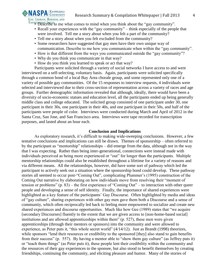• Describe to me what comes to mind when you think about the "gay community".

- Recall your experiences with the "gay community" think especially of the people that were involved. Tell me a story about when you felt a part of the community?
- Tell me a story about when you felt excluded from the community?
- Some researchers have suggested that gay men have their own unique way of communication. Describe to me how you communicate when within the "gay community".
- How is that different from the ways you communicated outside the "gay community"?
- Why do you think you communicate in that way?
- How do you think you learned to speak or act that way?

Participants were solicited through a variety of social networks I have access to and were interviewed on a self-selecting, voluntary basis. Again, participants were solicited specifically through a common bond of a local Bay Area chorale group, and some represented only one of a variety of possible gay communities. Of the 15 responses to interview requests, 4 individuals were selected and interviewed due to their cross-section of representation across a variety of races and age groups. Further demographic information revealed that although, ideally, there would have been a diversity of socio-economic statues and education level, all the participants ended up being generally middle class and college educated. The solicited group consisted of one participant under 30, one participant in their 30s, one participant in their 40s, and one participant in their 50s, and half of the participants were people of color. Interviews were conducted during March and April of 2012 in the Santa Cruz, San Jose, and San Francisco area. Interviews were tape recorded for transcription purposes, and lasted about an hour each.

## **Conclusion and Implications**

As exploratory research, it's difficult to making wide-sweeping conclusions. However, a few tentative conclusions and implications can still be drawn. Themes of sponsorship – often referred to by the participant as "mentorship" relationships – did emerge from the data, although not in the way that I was expecting. Rather than being inter-generational, connections were instead made with individuals perceived as being more experienced or "out" for longer than the participants. Multiple mentorship relationships could also be established throughout a lifetime for a variety of reasons and via different means. All the relationships, however, did have some sort of pathway which led the participant to actively seek out a situation where the sponsorship bond could develop. These pathway stories all seemed to occur post-"Coming Out", complicating Plummer's (1995) construction of the Coming Out narrative by elaborating on how individuals move from resolving their "moment of tension or problems" (p. 83) – the first experience of "Coming Out" – to interaction with other queer people and developing a sense of self identity. Finally, the importance of shared experiences were highlighted as a key feature of the participants' Gay Discourse. Often highlighted by media and ideas of "gay culture", sharing experiences with other gay men gave them both a Discourse and a sense of community, which often reciprocally led back to feeling more empowered to socialize and create new shared experiences and discourse opportunities. Much like how Gee (1989) states that "we acquire [secondary Discourses] fluently to the extent that we are given access to [non-home-based social] institutions and are allowed apprenticeships within them" (p. 527), these men were given apprenticeships (through their mentors or sponsors) into the community and were allowed to experience, as Peter puts it, "this whole secret world" (4/14/12). Just as Brandt (1998) theorizes, while sponsors "lend their resources or credibility to the sponsored [they] also stand to gain benefits from their success" (p. 557). By having a mentor able to "show them gay culture" (as Jeffrey puts it) or "teach them things" (as Peter puts it), these people lent their credibility within the community and the resources of their gay experiences to the sponsee, but also stood to benefit themselves by creating friendships, continuing the community, and eliciting pleasure and humor. Many of the stories of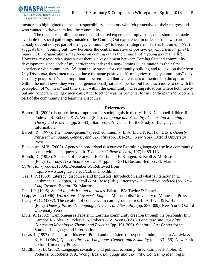

mentorship highlighted themes of responsibility – mentors who felt protective of their charges and who wanted to draw them into the community.

The themes regarding mentorship and shared experience imply that spaces should be made available for social gatherings outside of the Coming Out experience, in order for men who are already out but not yet part of the "gay community" to become integrated. Just as Plummer (1995) suggests that "'coming out' now becomes the central narrative of positive gay experience" (p. 84), many LGBT organizations may focus on coming out as the pinnacle of a young gay man's life. However, my research suggests that there's a key element between Coming Out and community development, since each of my participants indexed a non-Coming Out situation as their first experience with community. Without these spaces for community building and to develop their own Gay Discourse, these men may not have the same positive, affirming view of "gay community" they currently possess. It's also important to be reminded that while issues of mentorship did appear within the interviews, they were not generationally situated, per se, but had much more to do with the perception of "outness" and time spent within the community. Creating situations where both newly out and "experienced" gay men can gather together was instrumental for my participants to become a part of the community and learn the Discourse.

#### **References**

- Barrett, R. (2002). Is queer theory important for sociolinguistic theory? In K. Campbell-Kibler, R. Podesva, S. Roberts, & A. Wong (Eds.), *Language and Sexuality: Contesting Meaning in Theory and Practice* (pp. 25-43). Stanford, CA: Center for the Study of Language and Information.
- Barrett, R. (1997). The "homo-genius" speech community. In A. Livia & K. Hall (Eds.), *Queerly Phrased: Language, Gender, and Sexuality* (pp. 181-201). New York: Oxford University Press.
- Blackburn, M.V. (2005). Agency in borderland discourses: Examining language use in a community center with black queer youth. *Teacher's College Record*, *107*(1), 89-113.
- Brandt, D. (1998). Sponsors of literacy. In E. Cushman, E. Kintgen, B. Kroll & M. Rose (Eds.), *Literacy: A Critical Sourcebook* (pp. 555-571). Boston: Bedford/St. Martins.
- *Cuffs: Hanky codes*. (2006, December 6). Retrieved from http://www.stuorg.iastate.edu/cuffs/hanky.html
- Gee, J. P. (1989). Literacy, discourse, and linguistics: Introduction and what is literacy? In E. Cushman, E. Kintgen, B. Kroll & M. Rose (Eds.), *Literacy: A Critical Sourcebook* (pp. 525- 544). Boston: Bedford/St. Martins.
- Gee, J.P. (1996). *Social linguistics and literacies*. Bristol, PA: Taylor & Francis.
- Leap, W. L. (1996). *Word's out: Gay men's English*. Minneapolis: University of Minnesota Press.
- Liang, A. C. (1997). The creation of coherence in coming-out stories. In A. Livia & K. Hall (Eds.), *Queerly Phrased: Language, Gender, and Sexuality* (pp. 287-309). New York: Oxford University Press.
- Livia, A. (2002). Camionneuses s'abstenir: Lesbian community creation through the personals. In K. Campbell-Kibler, R. Podesva, S. Roberts & A. Wong (Eds.), *Language and Sexuality: Contesting Meaning in Theory and Practice* (pp. 191-206). Stanford, CA: Center for the Study of Language and Information.
- Lucas, I. (1997). The color of his eyes: Polari and the sisters of perpetual indulgence. In A. Livia  $\&$ K. Hall (Eds.), *Queerly Phrased: Language, Gender, and Sexuality* (pp. 233-256). New York: Oxford University Press.
- McElhinny, B. (2002). Language, sexuality, and political economy. In K. Campbell-Kibler, R. Podesva, S. Roberts & A. Wong (Eds.), *Language and Sexuality: Contesting Meaning in*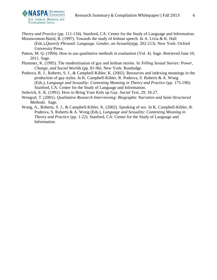

*Theory and Practice* (pp. 111-134). Stanford, CA: Center for the Study of Language and Information. Moonwomon-Baird, B. (1997). Towards the study of lesbian speech. In A. Livia & K. Hall (Eds.),*Queerly Phrased: Language, Gender, an Sexuality*(pp. 202-213). New York: Oxford

University Press.

Patton, M. Q. (1994). *How to use qualitative methods in evaluation* (Vol. 4). Sage. Retrieved June 10, 2011. Sage.

- Plummer, K. (1995). The modernisation of gay and lesbian stories. In *Telling Sexual Stories: Power, Change, and Social Worlds* (pp. 81-96). New York: Routledge.
- Podesva, R. J., Roberts, S. J., & Campbell-Kibler, K. (2002). Resources and indexing meanings in the production of gay styles. In K. Campbell-Kibler, R. Podesva, S. Roberts & A. Wong (Eds.), *Language and Sexuality: Contesting Meaning in Theory and Practice* (pp. 175-190). Stanford, CA: Center for the Study of Language and Information.

Sedwick, E. K. (1991). How to Bring Your Kids up Gay. *Social Text, 29*, 18-27.

- Wengraf, T. (2001). *Qualitative Research Interviewing: Biographic Narrative and Semi-Structured Methods*. Sage.
- Wong, A., Roberts, S. J., & Campbell-Kibler, K. (2002). Speaking of sex. In K. Campbell-Kibler, R. Podesva, S. Roberts & A. Wong (Eds.), *Language and Sexuality: Contesting Meaning in Theory and Practice* (pp. 1-22). Stanford, CA: Center for the Study of Language and Information.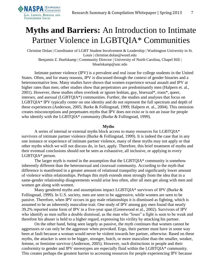

## **Myths and Barriers:** An Introduction to Intimate Partner Violence in LGBTQIA\* Communities

Christine Dolan | Coordinator of LGBT Student Involvement & Leadership | Washington University in St. Louis | christine.dolan@wustl.edu Benjamin Z. Huelskamp | Community Director | University of North Carolina, Chapel Hill | bhuelskamp@unc.edu

Intimate partner violence (IPV) is a prevalent and real issue for college students in the United States. Often, and for many reasons, IPV is discussed through the context of gender binaries and a heteronormative lens. Many studies have shown that women experience sexual assault and IPV at higher rates than men; other studies show that perpetrators are predominantly men (Halpern et. al., 2001). However, these studies often overlook or ignore lesbian, gay, bisexual\*, trans\*, queer, intersex, and asexual (LGBTQIA\*) communities. Further, the studies and analyses that focus on LGBTQIA\* IPV typically center on one identity and do not represent the full spectrum and depth of these experiences (Anderson, 2005; Burke & Follingstad, 1999; Halpern et. al., 2004). This omission creates misconceptions and perpetuates myths that IPV does not exist or is not an issue for people who identify with the LGBTQIA\* community (Burke & Follingstad, 1999).

#### **Myths**

A series of internal or external myths block access to many resources for LGBTQIA\* survivors of intimate partner violence (Burke  $&$  Follingstad, 1999). It is indeed the case that in any one instance or experience of intimate partner violence, many of these myths may not apply or that other myths which we will not discuss do, in fact, apply. Therefore, this brief treatment of myths and their eventual conclusions should not be seen as exhaustive, all inclusive, or applying to every LGBTQIA\* person.

The larger myth is rooted in the assumption that the LGBTQIA\* community is somehow inherently different than the heterosexual and cissexual community. According to the myth that difference is manifested in a greater amount of relational tranquility and significantly lower amount of violence within relationships. Perhaps this myth extends most strongly from the idea that in a same-gender relationship disagreements would arise less often, after all men get along with men and women get along with women.

Many gendered myths and assumptions impact LGBTQIA\* survivors of IPV (Burke & Follingstad, 1999). In U.S. society, men are seen to be aggressive, while women are seen to be passive. Therefore, when IPV occurs in gay male relationships it is dismissed as fighting, which is assumed to be an inherently masculine trait. One study of IPV among gay men found that nearly 39.2% reported some form of IPV in a five-year span (Greenwood et al., 2002). Survivors of IPV who identify as men suffer a double dismissal, as the man who "loses" a fight is seen to be weak and therefore his abuser is held to a higher regard, expressing his virility by attacking his partner.

On the other hand, being seen largely as passive, the myth continues that women cannot be aggressors or can only be the aggressor when provoked. Ergo, their partner must have in some way been at fault because a woman would never be violent towards her partner, otherwise. Based on these myths, the attacker is seen to be bigger, stronger, butch, or more masculine than the smaller, weaker, femme, or feminine survivor (Anderson, 2005). However, such distinctions in people and their conformity to gender and IPV stereotypes are especially fluid within the LGBTQIA\* community. This creates perhaps the greatest barrier to accessing resources for people experiencing IPV because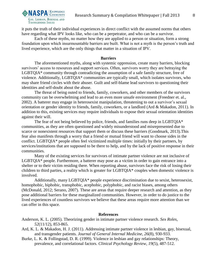

it puts the truth of their individual experiences in direct conflict with the assumed norms that others have regarding what IPV looks like, who can be a perpetrator, and who can be a survivor.

Each of these myths, no matter how they are applied to a person or situation, form a strong foundation upon which insurmountable barriers are built. What is not a myth is the person's truth and lived experience, which are the only things that matter in a situation of IPV.

#### **Barriers**

The aforementioned myths, along with systemic oppression, create many barriers, blocking survivors' access to resources and support services. Often, survivors worry they are betraying the LGBTQIA\* community through contradicting the assumption of a safe family structure, free of violence. Additionally, LGBTQIA\* communities are typically small, which isolates survivors, who may share friend circles with their abuser. Guilt and self-blame lead survivors to questioning their identities and self-doubt about the abuse.

The threat of being outed to friends, family, coworkers, and other members of the survivors community can be overwhelming and lead to an even more unsafe environment (Freedner et. al., 2002). A batterer may engage in heterosexist manipulation, threatening to out a survivor's sexual orientation or gender identity to friends, family, coworkers, or a landlord (Ard & Makadon, 2011). In addition to this, existing services may require individuals to expose their sexual orientation identities against their will.

The fear of not being believed by police, friends, and families runs deep in LGBTQIA\* communities, as they are often questioned and widely misunderstood and misrepresented due to scarce or nonexistent resources that support them or discuss these barriers (Goodmark, 2013).This fear also manifests through a worry that a friend or mutual friend will want to choose sides in the conflict. LGBTQIA\* people often feel victimized multiple times: initially by their partners, by services/institutions that are supposed to be there to help, and by the lack of positive response in their communities.

Many of the existing services for survivors of intimate partner violence are not inclusive of LGBTQIA\* people. Furthermore, a batterer may pose as a victim in order to gain entrance into a shelter or to their victim residing there. When reporting abuse, survivors face the risk of losing their children to third parties, a reality which is greater for LGBTQIA\* couples when domestic violence is involved.

Additionally, many LGBTQIA\* people experience discrimination due to sexist, heterosexist, homophobic, biphobic, transphobic, acephobic, polyphobic, and racist biases, among others (McDonald, 2012; Serano, 2007). These are areas that require deeper research and attention, as they pose additional barriers for these marginalized communities. However, in order to do justice to the lived experiences of countless survivors we believe that these areas require more attention than we can offer in this space.

#### **References**

Anderson, K. L. (2005). Theorizing gender in intimate partner violence research. *Sex Roles*, *52*(11/12), 853-865.

- Ard, K. L. & Makadon, H. J. (2011). Addressing intimate partner violence in lesbian, gay, bisexual, and transgender patients. *Journal of General Internal Medicine, 26*(8), 930-933.
- Burke, L. K. & Follingstad, D. R. (1999). Violence in lesbian and gay relationships: Theory, prevalence, and correlational factors. *Clinical Psychology Review*, *19*(5), 487-512.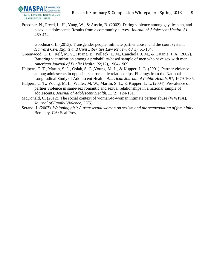

Freedner, N., Freed, L. H., Yang, W., & Austin, B. (2002). Dating violence among gay, lesbian, and bisexual adolescents: Results from a community survey. *Journal of Adolescent Health*. *31*, 469-474.

Goodmark, L. (2013). Transgender people, intimate partner abuse, and the court system. *Harvard Civil Rights and Civil Liberities Law Review, 48*(1), 51-104.

- Greenwood, G. L., Relf, M. V., Huang, B., Pollack, L. M., Canchola, J. M., & Catania, J. A. (2002). Battering victimization among a probability-based sample of men who have sex with men. *American Journal of Public Health, 92*(12), 1964-1969.
- Halpern, C. T., Martin, S. L., Oslak, S. G.,Young, M. L., & Kupper, L. L. (2001). Partner violence among adolescents in opposite-sex romantic relationships: Findings from the National Longitudinal Study of Adolescent Health. *American Journal of Public Health*. *91*, 1679-1685.
- Halpern, C. T., Young, M. L., Waller, M. W., Martin, S. L., & Kupper, L. L. (2004). Prevalence of partner violence in same-sex romantic and sexual relationships in a national sample of adolescents. *Journal of Adolescent Health*. *35*(2), 124-131.
- McDonald, C. (2012). The social context of woman-to-woman intimate partner abuse (WWPIA). *Journal of Family Violence, 27*(5).
- Serano, J. (2007). *Whipping girl: A transsexual woman on sexism and the scapegoating of femininity.*  Berkeley, CA: Seal Press.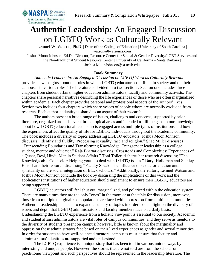

# **Authentic Leadership:** An Engaged Discussion on LGBTQ Work as Culturally Relevant

Lemuel W. Watson, Ph.D. | Dean of the College of Education | University of South Carolina | watson@lwatsoncs.com

Joshua Moon Johnson, Ed.D. | Director, Resource Center for Sexual & Gender Diversity/LGBT Services and the Non-traditional Student Resource Center | University of California – Santa Barbara | Joshua.MoonJohnson@sa.ucsb.edu

## **Book Summary**

*Authentic Leadership: An Engaged Discussion on LGBTQ Work as Culturally Relevant* provides new insights about the roles in which LGBTQ educators contribute in society and on their campuses in various roles. The literature is divided into two sections. Section one includes three chapters from student affairs, higher education administrators, faculty and community activists. The chapters share personal narratives describing the life experiences of those who are often marginalized within academia. Each chapter provides personal and professional aspects of the authors' lives. Section two includes four chapters which share voices of people whom are normally excluded from research. Each author's identity is shared as an aspect of their research.

The authors present a broad range of issues, challenges and concerns, supported by prior literature, organized around several broad topical areas and intended to fill the gaps in our knowledge about how LGBTQ educational leadership is engaged across multiple types of institutions and how the experiences affect the quality of life for LGBTQ individuals throughout the academic community. The book includes a diversity of topics addressing LGBTQ educators. Joshua Moon Johnson discusses "Identity and fluidity: Processing sexuality, race and religion." Shae Miller discusses "Transcending Boundaries and Transforming Knowledge: Transgender leadership as a college student, mentor and educator." Raja Bhattar discusses "Crossroads and Complexities: Experiences of a Queer, Desi, Hindu Man in Student Affairs." Toni Tollerud shares her research discussing "The Knowledgeable Counselor: Helping youth to deal with LGBTQ issues." Daryl Holloman and Stanley Ellis share their research discussing "Faculty Speak: The influence of sexual orientation and spirituality on the social integration of Black scholars." Additionally, the editors, Lemuel Watson and Joshua Moon Johnson conclude the book by discussing the implications of this work and the applications institutions of higher education should implement to ensure their LGBTQ educators are being supported.

LGBTQ educators still feel shut out, marginalized, and polarized within the education system. There are many times they are the only "ones" in the room or at the table for discussion; moreover, those from multiple marginalized populations are faced with oppression from multiple communities. Authentic Leadership is meant to expand a cursory of topics in order to shed light on the diversity of issues and depth that LGBTQ administrators and faculty members face on a daily basis. Understanding the LGBTQ experience from a holistic viewpoint is essential to our society. Academic and student affairs administrators are vital roles of campus communities, and they serve as mentors to the diversity of students present on campus; however, little is known about the marginality and oppression these administrators face based on their lived experiences as gender and sexual minorities. In order for students to have well-balanced mentors, campuses must ensure that faculty and administrators' identities are supported and understood.

The LGBTQ experience is a unique story that has been told in various unique ways by interesting and unique people. However, the stories that are not told are from the scholar or practitioner viewpoint and such perspectives should be represented in the leadership literature. The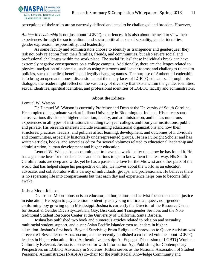

perceptions of their roles are so narrowly defined and need to be challenged and broaden. However,

*Authentic Leadership* is not just about LGBTQ experiences, it is also about the need to view their experiences through the socio-cultural and socio-political nexus of sexuality, gender identities, gender expression, responsibility, and leadership.

As some faculty and administrators choose to identify as transgender and genderqueer they risk not only rejection from their families, friends, and communities, but also severe social and professional challenges within the work place. The social "rules" these individuals break can have extremely negative consequences on a college campus. Additionally, there are challenges related to physical navigation of a campus, such as using restrooms and locker rooms; and challenges related to policies, such as medical benefits and legally changing names. The purpose of Authentic Leadership is to bring an open and honest discussion about the many faces of LGBTQ educators. Through this dialogue, the reader might reflect on the vast array of diversity that exists within the gender identities, sexual identities, spiritual identities, and professional identities of LGBTQ faculty and administrators.

#### **About the Editors**

#### Lemuel W. Watson

Dr. Lemuel W. Watson is currently Professor and Dean at the University of South Carolina. He completed his graduate work at Indiana University in Bloomington, Indiana. His career spans across various divisions in higher education, faculty, and administration, and he has numerous experiences in all types of institutions including two year colleges and four year institutions, public and private. His research interests include examining educational organizations and how their structures, practices, leaders, and policies affect learning, development, and outcomes of individuals and communities, especially historically underrepresented groups. He is a Fulbright Scholar and has written articles, books, and served as editor for several volumes related to educational leadership and administration, human development and higher education.

Lemuel W. Watson has a commitment to leave the world better than how he has found it. He has a genuine love for those he meets and is curious to get to know them in a real way. His South Carolina roots are deep and wide, yet he has a passionate love for the Midwest and other parts of the world that has helped shape his perspective on life. He moves about the world as an educator, advocate, and collaborator with a variety of individuals, groups, and professionals. He believes there is no separating life into compartments but that each day and experience helps one to become fully awake.

#### Joshua Moon Johnson

Dr. Joshua Moon Johnson is an educator, author, editor, and activist focused on social justice in education. He began to pay attention to identity as a young multiracial, queer, non-genderconforming boy growing up in Mississippi. Joshua is currently the Director of the Resource Center for Sexual & Gender Diversity/Lesbian, Gay, Bisexual, and Transgender Services and the Nontraditional Student Resource Center at the University of California, Santa Barbara.

Joshua has published two book and numerous articles related to religion and sexuality, multiracial student support, and queer Asian Pacific Islander men as leaders in higher education. Joshua's first book, Beyond Surviving: From Religious Oppression to Queer Activism was a recent #1 Bestseller on Amazon.com, and he recently published a co-edited volume about LGBTQ leaders in higher education titled Authentic Leadership: An Engaged Discussion of LGBTQ Work as Culturally Relevant. Joshua is a series editor with Information Age Publishing for Contemporary Perspectives on LGBTQ Advocacy in Societies. Joshua serves as the National Association of Student Personnel Administrators (NASPA) co-chair for the MultiRacial Knowledge Community and